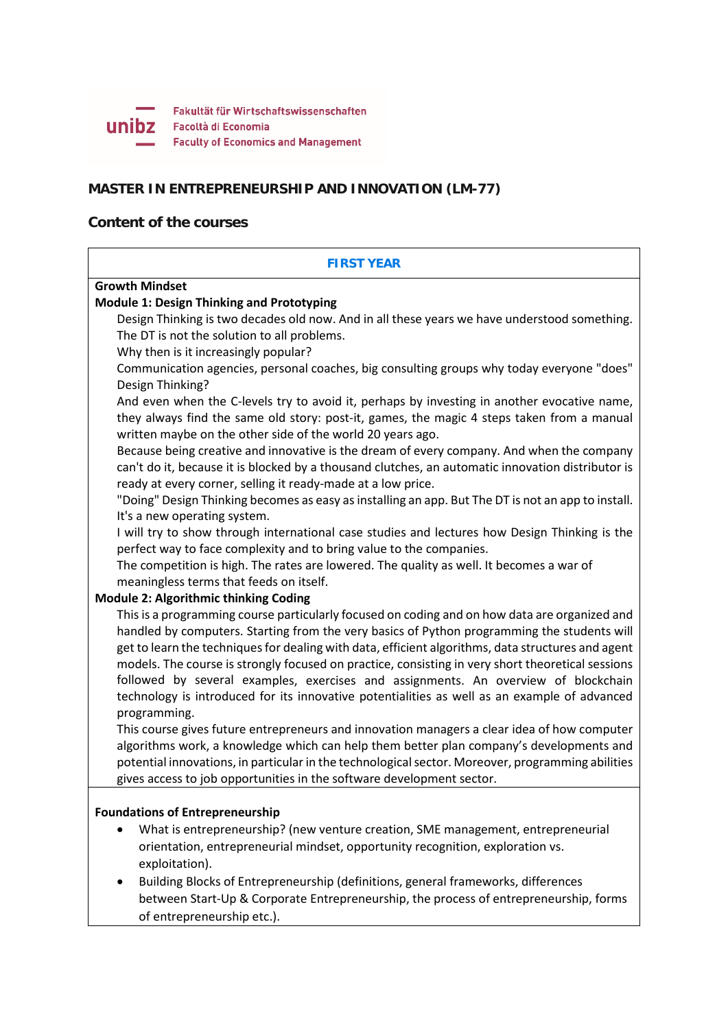

# **MASTER IN ENTREPRENEURSHIP AND INNOVATION (LM-77)**

# **Content of the courses**

# **FIRST YEAR Growth Mindset Module 1: Design Thinking and Prototyping** Design Thinking is two decades old now. And in all these years we have understood something. The DT is not the solution to all problems. Why then is it increasingly popular? Communication agencies, personal coaches, big consulting groups why today everyone "does" Design Thinking? And even when the C-levels try to avoid it, perhaps by investing in another evocative name, they always find the same old story: post-it, games, the magic 4 steps taken from a manual written maybe on the other side of the world 20 years ago. Because being creative and innovative is the dream of every company. And when the company can't do it, because it is blocked by a thousand clutches, an automatic innovation distributor is ready at every corner, selling it ready-made at a low price. "Doing" Design Thinking becomes as easy as installing an app. But The DT is not an app to install. It's a new operating system. I will try to show through international case studies and lectures how Design Thinking is the perfect way to face complexity and to bring value to the companies. The competition is high. The rates are lowered. The quality as well. It becomes a war of meaningless terms that feeds on itself. **Module 2: Algorithmic thinking Coding** This is a programming course particularly focused on coding and on how data are organized and handled by computers. Starting from the very basics of Python programming the students will get to learn the techniques for dealing with data, efficient algorithms, data structures and agent models. The course is strongly focused on practice, consisting in very short theoretical sessions followed by several examples, exercises and assignments. An overview of blockchain technology is introduced for its innovative potentialities as well as an example of advanced programming. This course gives future entrepreneurs and innovation managers a clear idea of how computer algorithms work, a knowledge which can help them better plan company's developments and potential innovations, in particular in the technological sector. Moreover, programming abilities gives access to job opportunities in the software development sector. **Foundations of Entrepreneurship** • What is entrepreneurship? (new venture creation, SME management, entrepreneurial orientation, entrepreneurial mindset, opportunity recognition, exploration vs. exploitation). • Building Blocks of Entrepreneurship (definitions, general frameworks, differences between Start-Up & Corporate Entrepreneurship, the process of entrepreneurship, forms of entrepreneurship etc.).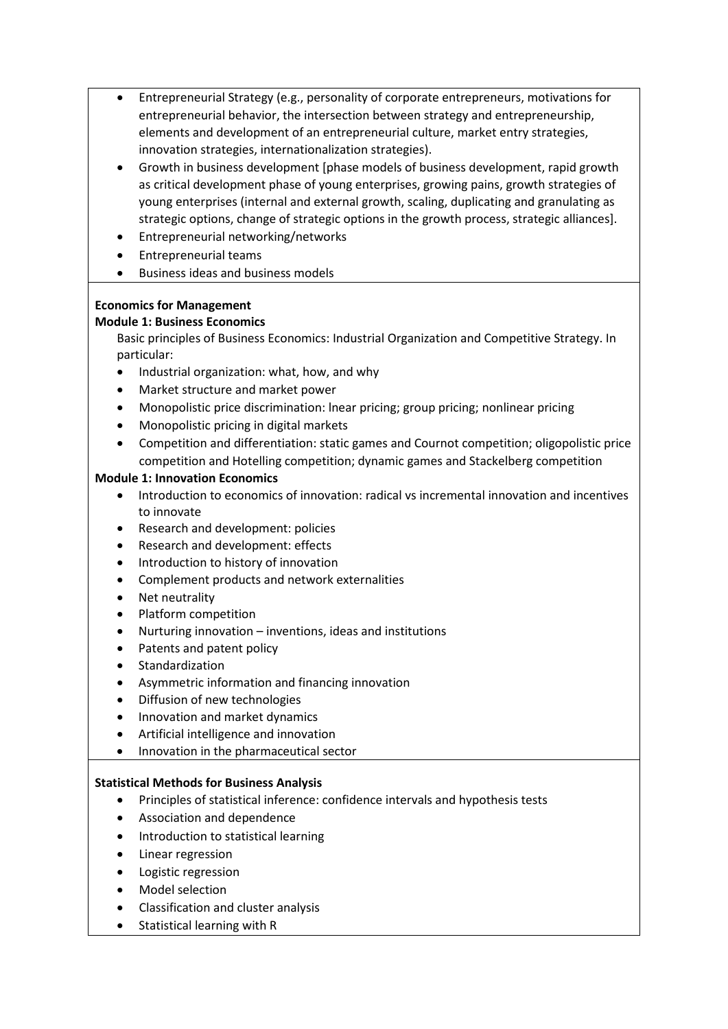- Entrepreneurial Strategy (e.g., personality of corporate entrepreneurs, motivations for entrepreneurial behavior, the intersection between strategy and entrepreneurship, elements and development of an entrepreneurial culture, market entry strategies, innovation strategies, internationalization strategies).
- Growth in business development [phase models of business development, rapid growth as critical development phase of young enterprises, growing pains, growth strategies of young enterprises (internal and external growth, scaling, duplicating and granulating as strategic options, change of strategic options in the growth process, strategic alliances].
- Entrepreneurial networking/networks
- Entrepreneurial teams
- Business ideas and business models

# **Economics for Management**

### **Module 1: Business Economics**

Basic principles of Business Economics: Industrial Organization and Competitive Strategy. In particular:

- Industrial organization: what, how, and why
- Market structure and market power
- Monopolistic price discrimination: lnear pricing; group pricing; nonlinear pricing
- Monopolistic pricing in digital markets
- Competition and differentiation: static games and Cournot competition; oligopolistic price competition and Hotelling competition; dynamic games and Stackelberg competition

### **Module 1: Innovation Economics**

- Introduction to economics of innovation: radical vs incremental innovation and incentives to innovate
- Research and development: policies
- Research and development: effects
- Introduction to history of innovation
- Complement products and network externalities
- Net neutrality
- Platform competition
- Nurturing innovation inventions, ideas and institutions
- Patents and patent policy
- **Standardization**
- Asymmetric information and financing innovation
- Diffusion of new technologies
- Innovation and market dynamics
- Artificial intelligence and innovation
- Innovation in the pharmaceutical sector

### **Statistical Methods for Business Analysis**

- Principles of statistical inference: confidence intervals and hypothesis tests
- Association and dependence
- Introduction to statistical learning
- Linear regression
- Logistic regression
- Model selection
- Classification and cluster analysis
- Statistical learning with R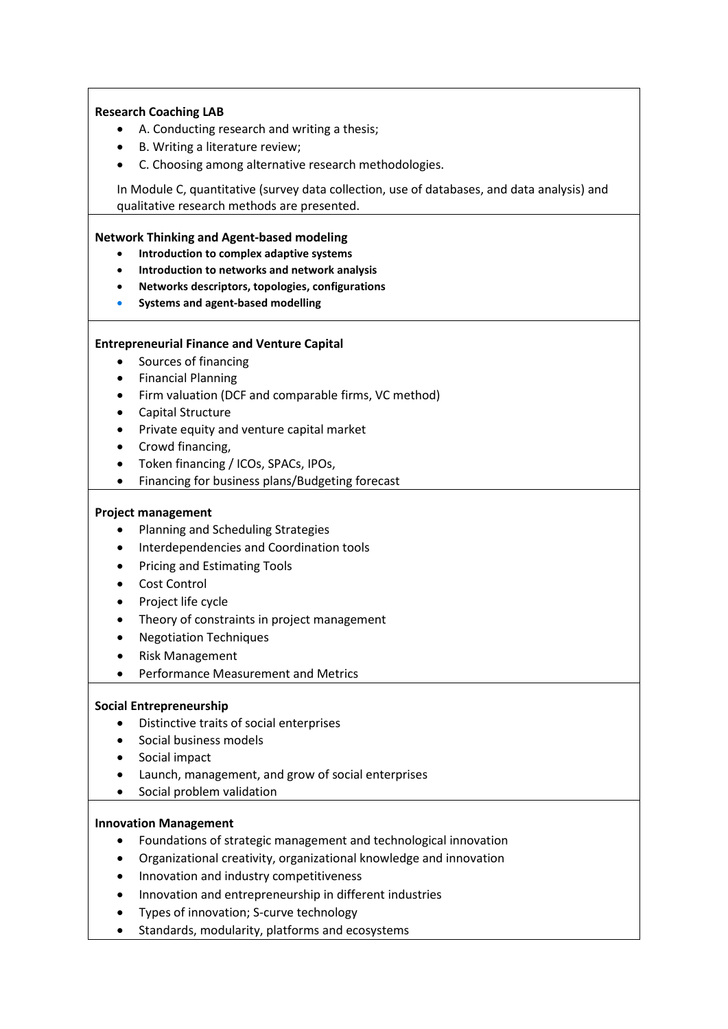### **Research Coaching LAB**

- A. Conducting research and writing a thesis;
- B. Writing a literature review;
- C. Choosing among alternative research methodologies.

In Module C, quantitative (survey data collection, use of databases, and data analysis) and qualitative research methods are presented.

### **Network Thinking and Agent-based modeling**

- **Introduction to complex adaptive systems**
- **Introduction to networks and network analysis**
- **Networks descriptors, topologies, configurations**
- **Systems and agent-based modelling**

# **Entrepreneurial Finance and Venture Capital**

- Sources of financing
- Financial Planning
- Firm valuation (DCF and comparable firms, VC method)
- Capital Structure
- Private equity and venture capital market
- Crowd financing,
- Token financing / ICOs, SPACs, IPOs,
- Financing for business plans/Budgeting forecast

### **Project management**

- Planning and Scheduling Strategies
- Interdependencies and Coordination tools
- Pricing and Estimating Tools
- Cost Control
- Project life cycle
- Theory of constraints in project management
- Negotiation Techniques
- Risk Management
- Performance Measurement and Metrics

### **Social Entrepreneurship**

- Distinctive traits of social enterprises
- Social business models
- Social impact
- Launch, management, and grow of social enterprises
- Social problem validation

### **Innovation Management**

- Foundations of strategic management and technological innovation
- Organizational creativity, organizational knowledge and innovation
- Innovation and industry competitiveness
- Innovation and entrepreneurship in different industries
- Types of innovation; S-curve technology
- Standards, modularity, platforms and ecosystems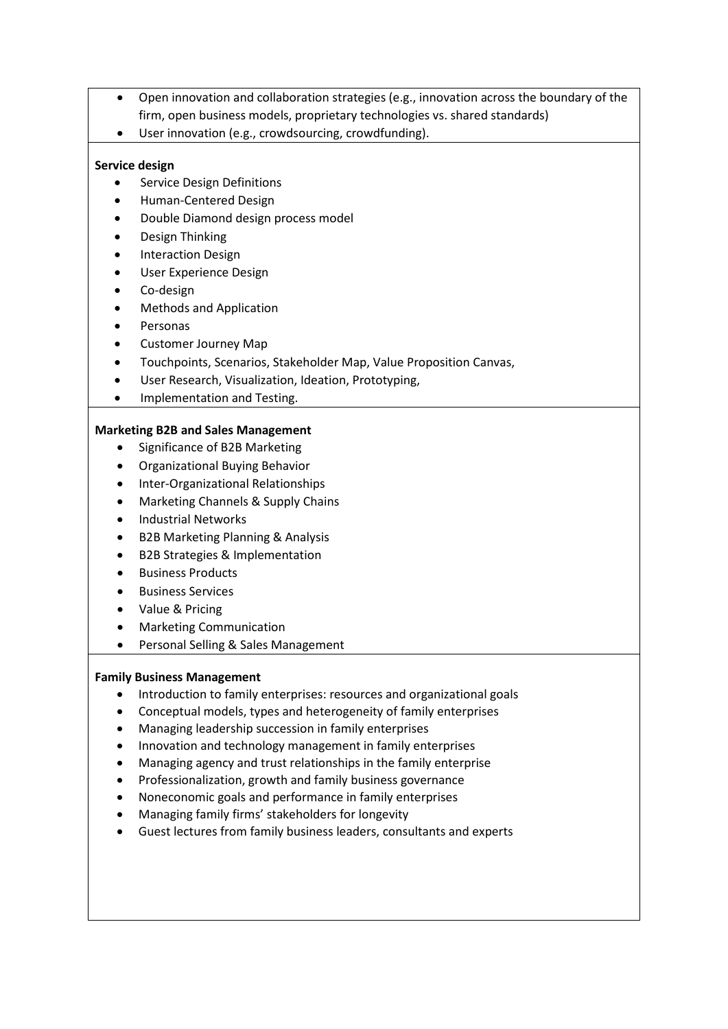- Open innovation and collaboration strategies (e.g., innovation across the boundary of the firm, open business models, proprietary technologies vs. shared standards)
- User innovation (e.g., crowdsourcing, crowdfunding).

# **Service design**

- Service Design Definitions
- Human-Centered Design
- Double Diamond design process model
- Design Thinking
- Interaction Design
- User Experience Design
- Co-design
- Methods and Application
- **Personas**
- Customer Journey Map
- Touchpoints, Scenarios, Stakeholder Map, Value Proposition Canvas,
- User Research, Visualization, Ideation, Prototyping,
- Implementation and Testing.

# **Marketing B2B and Sales Management**

- Significance of B2B Marketing
- Organizational Buying Behavior
- Inter-Organizational Relationships
- Marketing Channels & Supply Chains
- Industrial Networks
- B2B Marketing Planning & Analysis
- B2B Strategies & Implementation
- Business Products
- Business Services
- Value & Pricing
- Marketing Communication
- Personal Selling & Sales Management

# **Family Business Management**

- Introduction to family enterprises: resources and organizational goals
- Conceptual models, types and heterogeneity of family enterprises
- Managing leadership succession in family enterprises
- Innovation and technology management in family enterprises
- Managing agency and trust relationships in the family enterprise
- Professionalization, growth and family business governance
- Noneconomic goals and performance in family enterprises
- Managing family firms' stakeholders for longevity
- Guest lectures from family business leaders, consultants and experts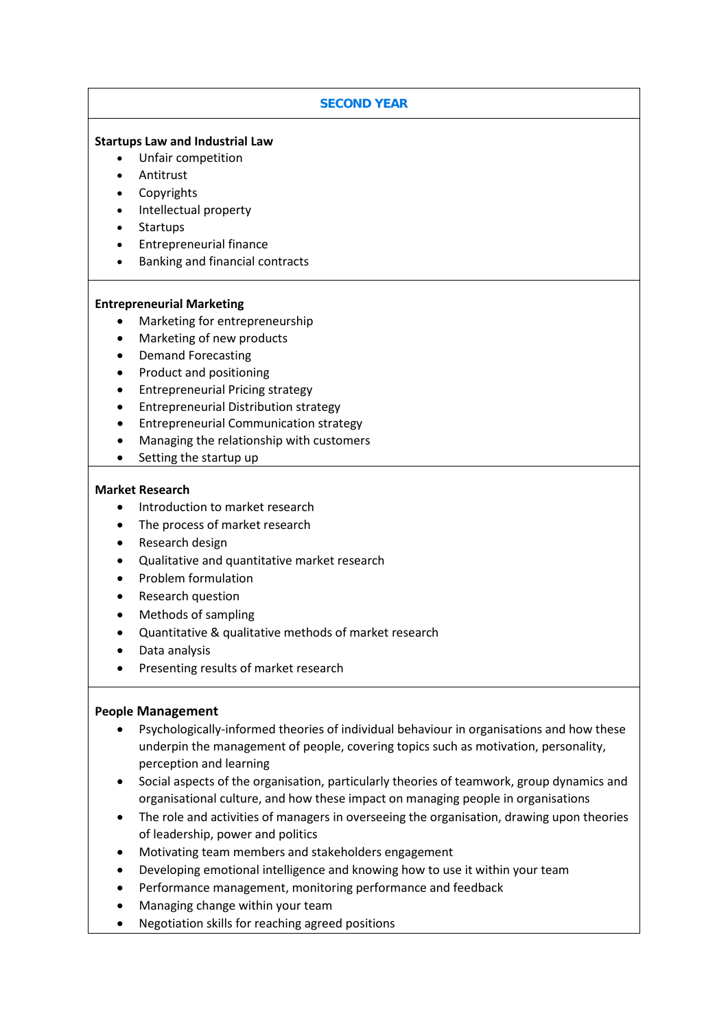# **SECOND YEAR**

### **Startups Law and Industrial Law**

- Unfair competition
- Antitrust
- **Copyrights**
- Intellectual property
- Startups
- Entrepreneurial finance
- Banking and financial contracts

#### **Entrepreneurial Marketing**

- Marketing for entrepreneurship
- Marketing of new products
- Demand Forecasting
- Product and positioning
- Entrepreneurial Pricing strategy
- Entrepreneurial Distribution strategy
- Entrepreneurial Communication strategy
- Managing the relationship with customers
- Setting the startup up

### **Market Research**

- Introduction to market research
- The process of market research
- Research design
- Qualitative and quantitative market research
- Problem formulation
- Research question
- Methods of sampling
- Quantitative & qualitative methods of market research
- Data analysis
- Presenting results of market research

### **People Management**

- Psychologically-informed theories of individual behaviour in organisations and how these underpin the management of people, covering topics such as motivation, personality, perception and learning
- Social aspects of the organisation, particularly theories of teamwork, group dynamics and organisational culture, and how these impact on managing people in organisations
- The role and activities of managers in overseeing the organisation, drawing upon theories of leadership, power and politics
- Motivating team members and stakeholders engagement
- Developing emotional intelligence and knowing how to use it within your team
- Performance management, monitoring performance and feedback
- Managing change within your team
- Negotiation skills for reaching agreed positions